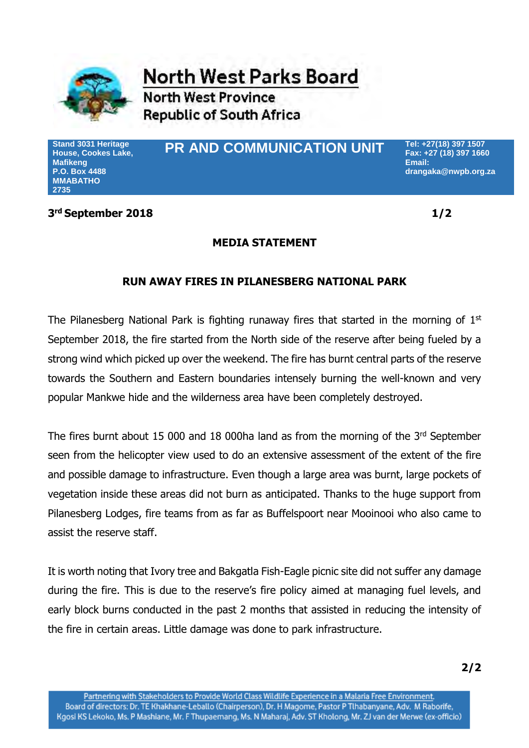

**North West Parks Board** 

**North West Province Republic of South Africa** 

**Stand 3031 Heritage House, Cookes Lake, Mafikeng P.O. Box 4488 MMABATHO 2735**

# **PR AND COMMUNICATION UNIT Tel: +27(18) 397 1507**

**Fax: +27 (18) 397 1660 Email: drangaka@nwpb.org.za**

### **3 rd September 2018 1/2**

## **MEDIA STATEMENT**

# **RUN AWAY FIRES IN PILANESBERG NATIONAL PARK**

The Pilanesberg National Park is fighting runaway fires that started in the morning of  $1<sup>st</sup>$ September 2018, the fire started from the North side of the reserve after being fueled by a strong wind which picked up over the weekend. The fire has burnt central parts of the reserve towards the Southern and Eastern boundaries intensely burning the well-known and very popular Mankwe hide and the wilderness area have been completely destroyed.

The fires burnt about 15 000 and 18 000ha land as from the morning of the  $3<sup>rd</sup>$  September seen from the helicopter view used to do an extensive assessment of the extent of the fire and possible damage to infrastructure. Even though a large area was burnt, large pockets of vegetation inside these areas did not burn as anticipated. Thanks to the huge support from Pilanesberg Lodges, fire teams from as far as Buffelspoort near Mooinooi who also came to assist the reserve staff.

It is worth noting that Ivory tree and Bakgatla Fish-Eagle picnic site did not suffer any damage during the fire. This is due to the reserve's fire policy aimed at managing fuel levels, and early block burns conducted in the past 2 months that assisted in reducing the intensity of the fire in certain areas. Little damage was done to park infrastructure.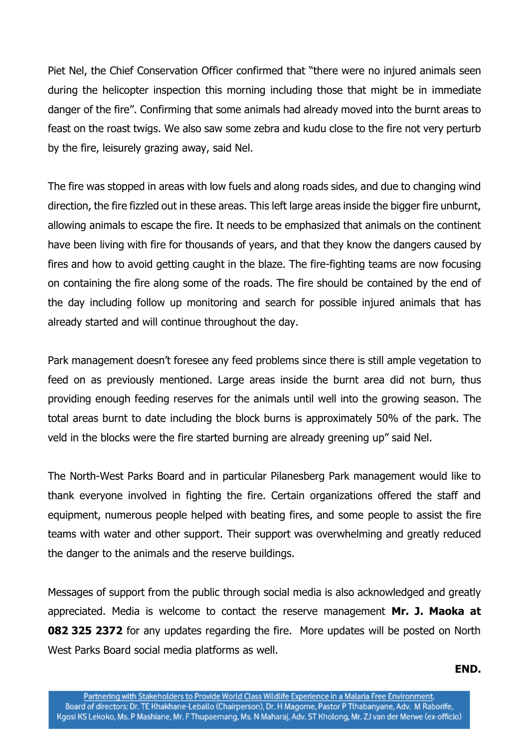Piet Nel, the Chief Conservation Officer confirmed that "there were no injured animals seen during the helicopter inspection this morning including those that might be in immediate danger of the fire". Confirming that some animals had already moved into the burnt areas to feast on the roast twigs. We also saw some zebra and kudu close to the fire not very perturb by the fire, leisurely grazing away, said Nel.

The fire was stopped in areas with low fuels and along roads sides, and due to changing wind direction, the fire fizzled out in these areas. This left large areas inside the bigger fire unburnt, allowing animals to escape the fire. It needs to be emphasized that animals on the continent have been living with fire for thousands of years, and that they know the dangers caused by fires and how to avoid getting caught in the blaze. The fire-fighting teams are now focusing on containing the fire along some of the roads. The fire should be contained by the end of the day including follow up monitoring and search for possible injured animals that has already started and will continue throughout the day.

Park management doesn't foresee any feed problems since there is still ample vegetation to feed on as previously mentioned. Large areas inside the burnt area did not burn, thus providing enough feeding reserves for the animals until well into the growing season. The total areas burnt to date including the block burns is approximately 50% of the park. The veld in the blocks were the fire started burning are already greening up" said Nel.

The North-West Parks Board and in particular Pilanesberg Park management would like to thank everyone involved in fighting the fire. Certain organizations offered the staff and equipment, numerous people helped with beating fires, and some people to assist the fire teams with water and other support. Their support was overwhelming and greatly reduced the danger to the animals and the reserve buildings.

Messages of support from the public through social media is also acknowledged and greatly appreciated. Media is welcome to contact the reserve management **Mr. J. Maoka at 082 325 2372** for any updates regarding the fire. More updates will be posted on North West Parks Board social media platforms as well.

### **END.**